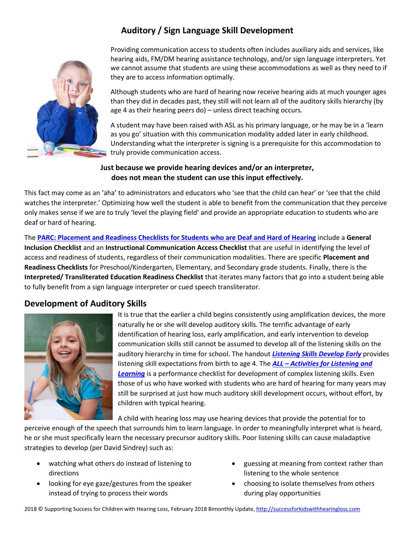# **Auditory / Sign Language Skill Development**



Providing communication access to students often includes auxiliary aids and services, like hearing aids, FM/DM hearing assistance technology, and/or sign language interpreters. Yet we cannot assume that students are using these accommodations as well as they need to if they are to access information optimally.

Although students who are hard of hearing now receive hearing aids at much younger ages than they did in decades past, they still will not learn all of the auditory skills hierarchy (by age 4 as their hearing peers do) – unless direct teaching occurs.

A student may have been raised with ASL as his primary language, or he may be in a 'learn as you go' situation with this communication modality added later in early childhood. Understanding what the interpreter is signing is a prerequisite for this accommodation to truly provide communication access.

### **Just because we provide hearing devices and/or an interpreter, does not mean the student can use this input effectively.**

This fact may come as an 'aha' to administrators and educators who 'see that the child can hear' or 'see that the child watches the interpreter.' Optimizing how well the student is able to benefit from the communication that they perceive only makes sense if we are to truly 'level the playing field' and provide an appropriate education to students who are deaf or hard of hearing.

The **[PARC: Placement and Readiness Checklists for Students who are Deaf and Hard of Hearing](https://successforkidswithhearingloss.com/wp-content/uploads/2011/08/PARC_2011-Chap-7.pdf)** include a **General Inclusion Checklist** and an **Instructional Communication Access Checklist** that are useful in identifying the level of access and readiness of students, regardless of their communication modalities. There are specific **Placement and Readiness Checklists** for Preschool/Kindergarten, Elementary, and Secondary grade students. Finally, there is the **Interpreted/ Transliterated Education Readiness Checklist** that iterates many factors that go into a student being able to fully benefit from a sign language interpreter or cued speech transliterator.

## **Development of Auditory Skills**



It is true that the earlier a child begins consistently using amplification devices, the more naturally he or she will develop auditory skills. The terrific advantage of early identification of hearing loss, early amplification, and early intervention to develop communication skills still cannot be assumed to develop all of the listening skills on the auditory hierarchy in time for school. The handout *[Listening Skills Develop Early](https://successforkidswithhearingloss.com/wp-content/uploads/2018/02/Listening-Skills-Develop-Early.pdf)* provides listening skill expectations from birth to age 4. The *ALL – [Activities for Listening and](https://successforkidswithhearingloss.com/wp-content/uploads/2018/02/Activities-for-Listening-and-Learning-ALL_fill.pdf)  [Learning](https://successforkidswithhearingloss.com/wp-content/uploads/2018/02/Activities-for-Listening-and-Learning-ALL_fill.pdf)* is a performance checklist for development of complex listening skills. Even those of us who have worked with students who are hard of hearing for many years may still be surprised at just how much auditory skill development occurs, without effort, by children with typical hearing.

A child with hearing loss may use hearing devices that provide the potential for to

perceive enough of the speech that surrounds him to learn language. In order to meaningfully interpret what is heard, he or she must specifically learn the necessary precursor auditory skills. Poor listening skills can cause maladaptive strategies to develop (per David Sindrey) such as:

- watching what others do instead of listening to directions
- looking for eye gaze/gestures from the speaker instead of trying to process their words
- guessing at meaning from context rather than listening to the whole sentence
- choosing to isolate themselves from others during play opportunities

2018 © Supporting Success for Children with Hearing Loss, February 2018 Bimonthly Update[, http://successforkidswithhearingloss.com](http://successforkidswithhearingloss.com/)